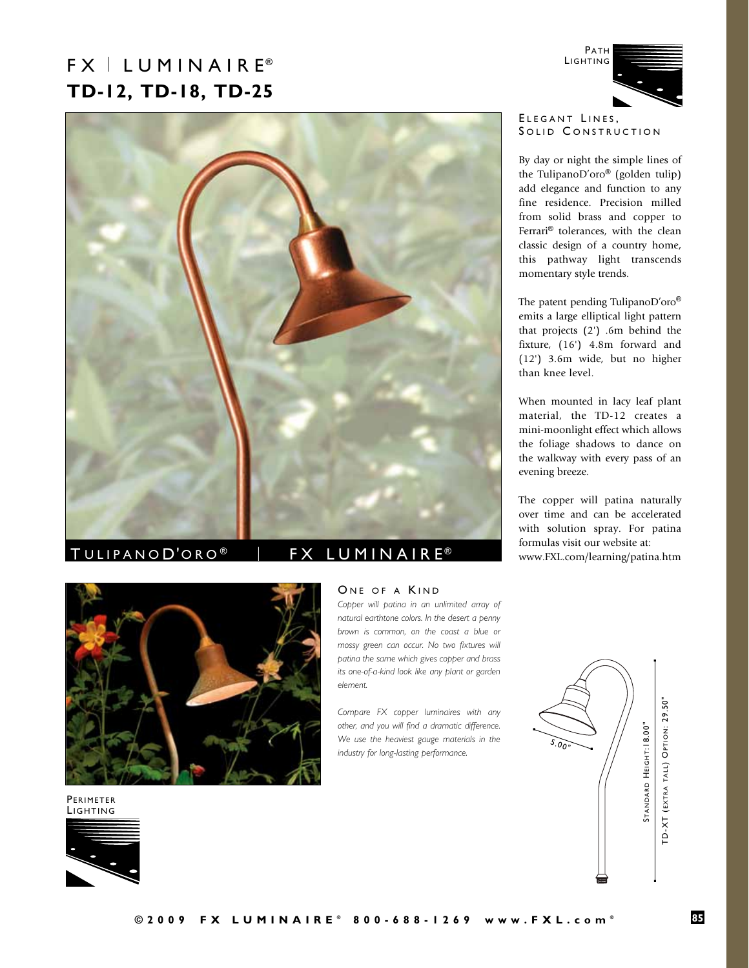# FX LUMINAIRE® **TD-12, TD-18, TD-25**





than knee level.

this pathway light transcends

When mounted in lacy leaf plant material, the TD-12 creates a mini-moonlight effect which allows the foliage shadows to dance on the walkway with every pass of an evening breeze.

The copper will patina naturally over time and can be accelerated with solution spray. For patina formulas visit our website at: www.FXL.com/learning/patina.htm



PERIMETER<br>LIGHTING



## TULIPANOD'ORO<sup>®</sup> | FX LUMINAIRE<sup>®</sup>

## ONE OF A KIND

*Copper will patina in an unlimited array of natural earthtone colors. In the desert a penny brown is common, on the coast a blue or mossy green can occur. No two fixtures will patina the same which gives copper and brass its one-of-a-kind look like any plant or garden element.* 

*Compare FX copper luminaires with any other, and you will find a dramatic difference. We use the heaviest gauge materials in the industry for long-lasting performance.*